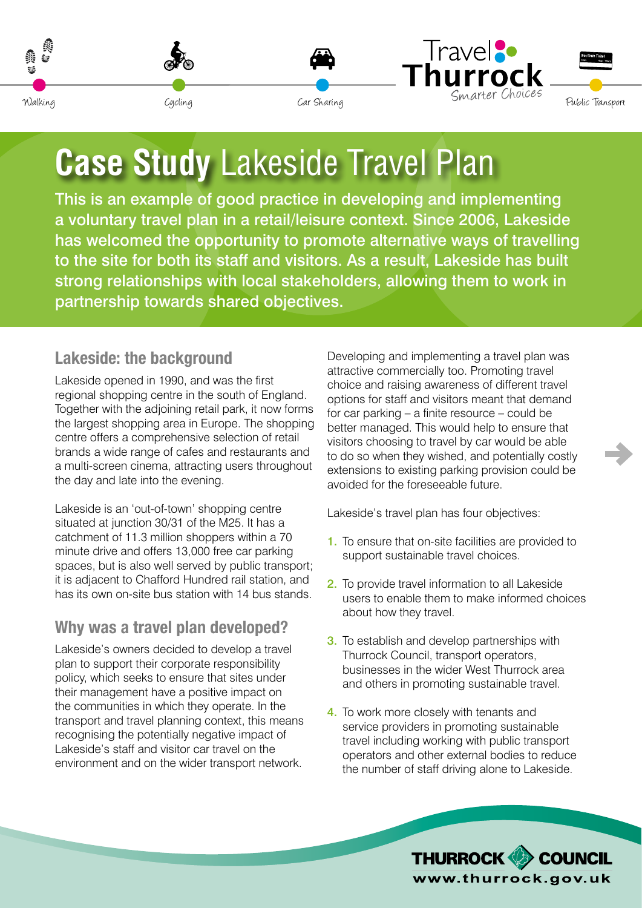<span id="page-0-0"></span>







# **Case Study** Lakeside Travel Plan

This is an example of good practice in developing and implementing a voluntary travel plan in a retail/leisure context. Since 2006, Lakeside has welcomed the opportunity to promote alternative ways of travelling to the site for both its staff and visitors. As a result, Lakeside has built strong relationships with local stakeholders, allowing them to work in partnership towards shared objectives.

### **Lakeside: the background**

Lakeside opened in 1990, and was the first regional shopping centre in the south of England. Together with the adjoining retail park, it now forms the largest shopping area in Europe. The shopping centre offers a comprehensive selection of retail brands a wide range of cafes and restaurants and a multi-screen cinema, attracting users throughout the day and late into the evening.

Lakeside is an 'out-of-town' shopping centre situated at junction 30/31 of the M25. It has a catchment of 11.3 million shoppers within a 70 minute drive and offers 13,000 free car parking spaces, but is also well served by public transport; it is adjacent to Chafford Hundred rail station, and has its own on-site bus station with 14 bus stands.

# **Why was a travel plan developed?**

Lakeside's owners decided to develop a travel plan to support their corporate responsibility policy, which seeks to ensure that sites under their management have a positive impact on the communities in which they operate. In the transport and travel planning context, this means recognising the potentially negative impact of Lakeside's staff and visitor car travel on the environment and on the wider transport network.

Developing and implementing a travel plan was attractive commercially too. Promoting travel choice and raising awareness of different travel options for staff and visitors meant that demand for car parking – a finite resource – could be better managed. This would help to ensure that visitors choosing to travel by car would be able to do so when they wished, and potentially costly extensions to existing parking provision could be avoided for the foreseeable future.

Lakeside's travel plan has four objectives:

- 1. To ensure that on-site facilities are provided to support sustainable travel choices.
- 2. To provide travel information to all Lakeside users to enable them to make informed choices about how they travel.
- **3.** To establish and develop partnerships with Thurrock Council, transport operators, businesses in the wider West Thurrock area and others in promoting sustainable travel.
- 4. To work more closely with tenants and service providers in promoting sustainable travel including working with public transport operators and other external bodies to reduce the number of staff driving alone to Lakeside.

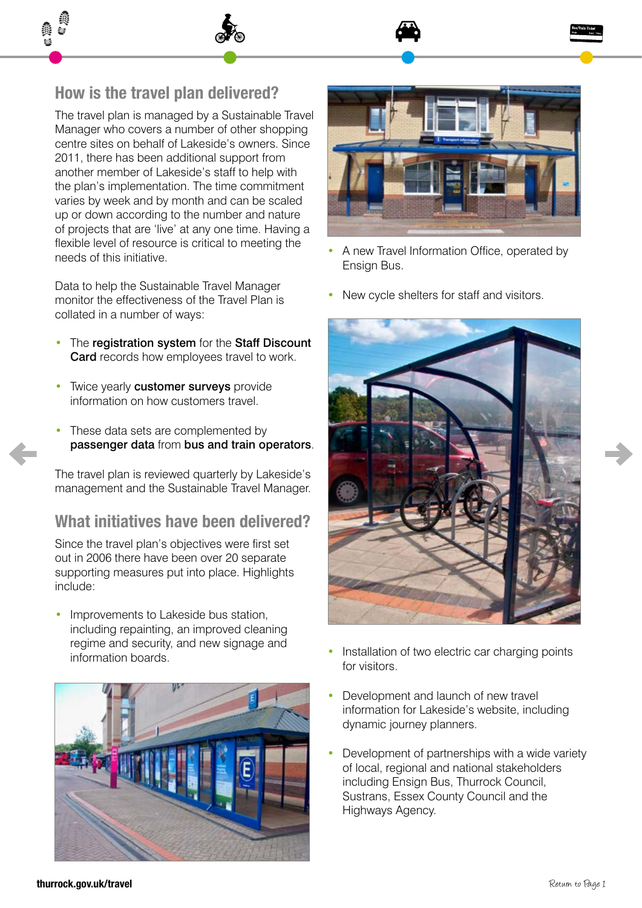#### **How is the travel plan delivered?**

The travel plan is managed by a Sustainable Travel Manager who covers a number of other shopping centre sites on behalf of Lakeside's owners. Since 2011, there has been additional support from another member of Lakeside's staff to help with the plan's implementation. The time commitment varies by week and by month and can be scaled up or down according to the number and nature of projects that are 'live' at any one time. Having a flexible level of resource is critical to meeting the needs of this initiative.

Data to help the Sustainable Travel Manager monitor the effectiveness of the Travel Plan is collated in a number of ways:

- The registration system for the Staff Discount **Card** records how employees travel to work.
- Twice yearly **customer surveys** provide information on how customers travel.
- These data sets are complemented by passenger data from bus and train operators.

The travel plan is reviewed quarterly by Lakeside's management and the Sustainable Travel Manager.

#### **What initiatives have been delivered?**

Since the travel plan's objectives were first set out in 2006 there have been over 20 separate supporting measures put into place. Highlights include:

Improvements to Lakeside bus station, including repainting, an improved cleaning regime and security, and new signage and information boards.





- A new Travel Information Office, operated by Ensign Bus.
- New cycle shelters for staff and visitors.



- Installation of two electric car charging points for visitors.
- Development and launch of new travel information for Lakeside's website, including dynamic journey planners.
- Development of partnerships with a wide variety of local, regional and national stakeholders including Ensign Bus, Thurrock Council, Sustrans, Essex County Council and the Highways Agency.